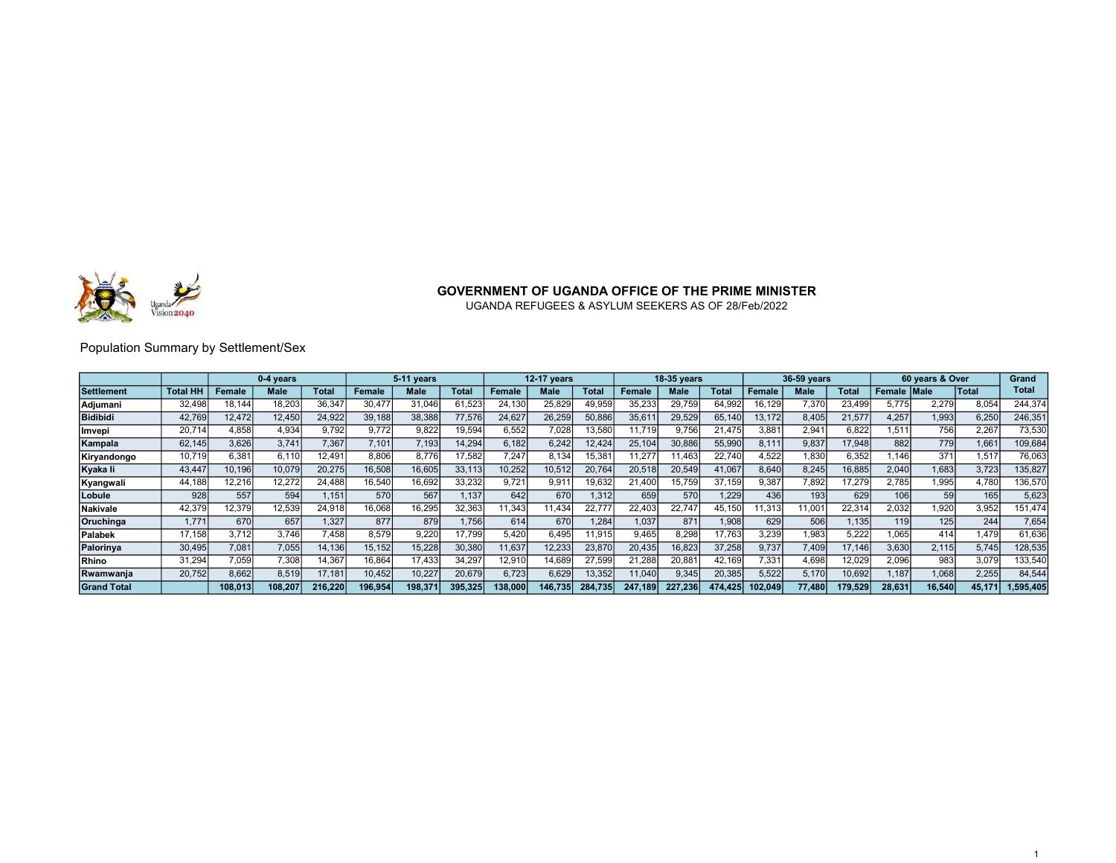

UGANDA REFUGEES & ASYLUM SEEKERS AS OF 28/Feb/2022

### Population Summary by Settlement/Sex

|                    |                 |         | 0-4 vears |         |         | 5-11 years |              |        | <b>12-17 vears</b> |              |         | <b>18-35 vears</b> |              |         | 36-59 years |         |               | 60 years & Over  |                  | Grand     |
|--------------------|-----------------|---------|-----------|---------|---------|------------|--------------|--------|--------------------|--------------|---------|--------------------|--------------|---------|-------------|---------|---------------|------------------|------------------|-----------|
| <b>Settlement</b>  | <b>Total HH</b> | Female  | Male      | Total   | Female  | Male       | <b>Total</b> | Female | Male               | <b>Total</b> | Female  | <b>Male</b>        | <b>Total</b> | Female  | Male        | Total   | Female   Male |                  | <b>Total</b>     | Total     |
| Adjumani           | 32,498          | 18,144  | 18,203    | 36,347  | 30.477  | 31,046     | 61,523       | 24.130 | 25,829             | 49,959       | 35,233  | 29,759             | 64,992       | 16.129  | 7,370       | 23,499  |               | 2,279            | 8.054            | 244,374   |
| <b>Bidibidi</b>    | 42,769          | 12,472  | 12,450    | 24,922  | 39,188  | 38,388     | 77,576       | 24,627 | 26,259             | 50,886       | 35,61'  | 29,529             | 65,140       | 13,172  | 8,405       | 21,577  | 4.257         | 1,993            | 6,250            | 246,351   |
| llmvepi            | 20.714          | 4.858   | 4.934     | 9.792   | 9.772   | 9,822      | 19,594       | 6.552  | 7.028              | 13,580       | 1.719   | 9.756              | 21.475       | 3.881   | 2.941       | 6,822   | .511          | 756              | 2.267            | 73,530    |
| Kampala            | 62,145          | 3,626   | 3,741     | 7,367   | 7,101   | 7.193      | 14,294       | 6.182  | 6,242              | 12,424       | 25,104  | 30,886             | 55,990       | 8.11'   | 9,837       | 17,948  | 882           | 779              | .661             | 109,684   |
| Kiryandongo        | 10.719          | 6.381   | 6.110     | 12.491  | 8.806   | 8.776      | 17,582       | 7.247  | 8.134              | 15,381       | 1,277   | 1,463              | 22.740       | 4,522   | 1,830       | 6,352   | .146          | 371              | 1.517            | 76,063    |
| Kyaka li           | 43.447          | 10,196  | 10,079    | 20,275  | 16,508  | 16,605     | 33,113       | 10,252 | 10,512             | 20,764       | 20,518  | 20,549             | 41,067       | 8.640   | 8,245       | 16,885  | 2.040         | 1,683            | 3,723            | 135,827   |
| Kyangwali          | 44,188          | 12,216  | 12,272    | 24,488  | 16.540  | 16,692     | 33,232       | 9.721  | 9.91'              | 19,632       | 21,400  | 15,759             | 37.159       | 9.387   | 7,892       | 17,279  | 2.785         | 1,995            | 4.780            | 136,570   |
| Lobule             | 928             | 557     | 594       | 1.151   | 570     | 567        | 1,137        | 642    | 670                | 1,312        | 659     | 57C                | 1.229        | 436     | 193         | 629     | 106           | 59               | 165 <sub>1</sub> | 5,623     |
| <b>Nakivale</b>    | 42,379          | 12,379, | 12.539    | 24,918  | 16.068  | 16,295     | 32,363       | 1,343  | 11.434             | 22.777       | 22.403  | 22.747             | 45.150       | 1,313   | 1.001       | 22,314  | 2,032         | 1.920            | 3.952            | 151,474   |
| Oruchinga          | 1.771           | 670     | 657       | 1.327   | 877     | 879        | .756         | 614    | 670                | .284         | 1.037   | 871                | 1.908        | 629     | 506         | 1.135   | 119           | 125 <sub>1</sub> | 244              | 7,654     |
| <b>Palabek</b>     | 17.158          | 3.712   | 3.746     | 7.458   | 8.579   | 9.220      | 17.799       | 5,420  | 6.495              | '1,915       | 9.465   | 8.298              | 17.763       | 3,239   | 1,983       | 5,222   | .065          | 414              | .479             | 61,636    |
| Palorinva          | 30,495          | 7,081   | 7,055     | 14,136  | 15.152  | 15,228     | 30,380       | 11,637 | 12,233             | 23,870       | 20,435  | 16,823             | 37,258       | 9,737   | 7,409       | 17.146  | 3.630         | 2,115            | 5.745            | 128,535   |
| <b>Rhino</b>       | 31,294          | 7.059   | 7,308     | 14,367  | 16.864  | 17,433     | 34,297       | 12,910 | 14.689             | 27,599       | 21,288  | 20,881             | 42.169       | 7.331   | 4.698       | 12,029  | 2.096         | 983              | 3,079            | 133,540   |
| Rwamwanja          | 20.752          | 8,662   | 8.519     | 17,181  | 10.452  | 10,227     | 20,679       | 6,723  | 6,629              | 13,352       | 11,040  | 9,345              | 20,385       | 5,522   | 5,170       | 10,692  | .187          | 1,068            | 2,255            | 84,544    |
| <b>Grand Total</b> |                 | 108.013 | 108.207   | 216.220 | 196.954 | 198.37     | 395.325      | 38,000 | 146.735            | 284.735      | 247.189 | 227.236            | 474.425      | 102.049 | 77.480      | 179.529 | 28.631        | 16.540           | 45.17'           | 1.595.405 |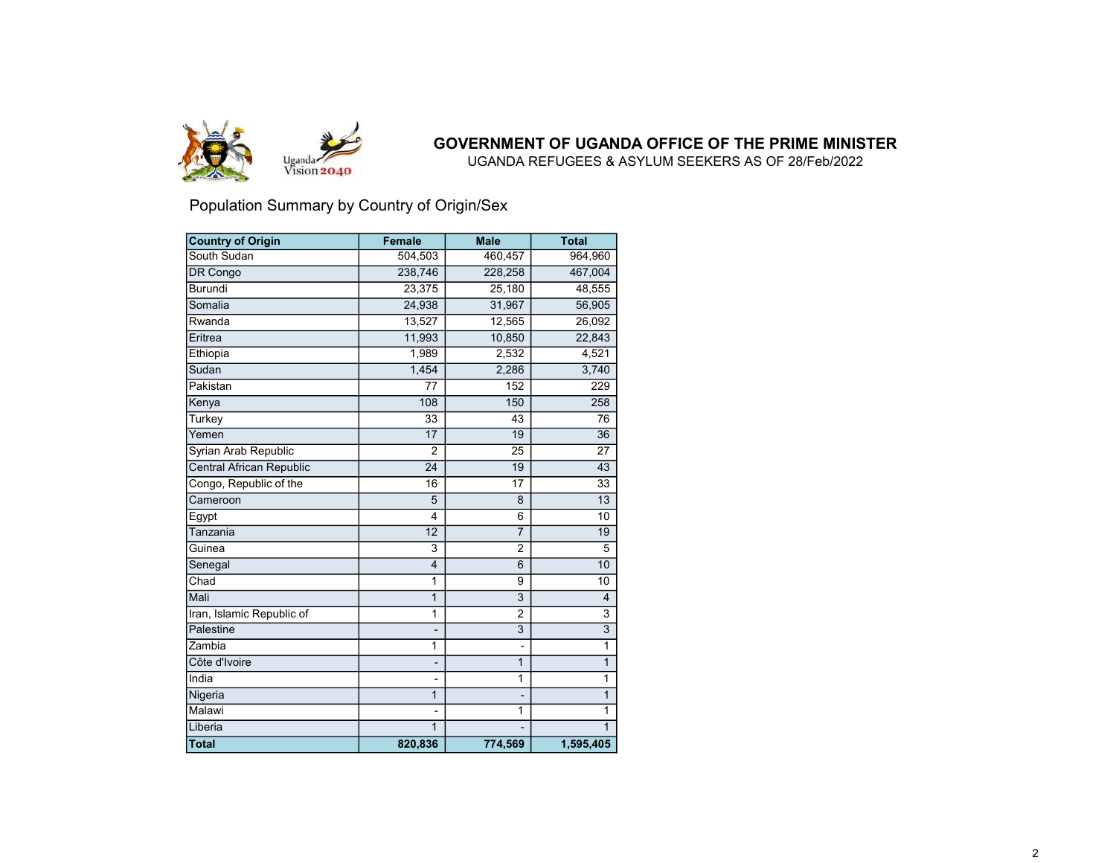

UGANDA REFUGEES & ASYLUM SEEKERS AS OF 28/Feb/2022

### Population Summary by Country of Origin/Sex

| <b>Country of Origin</b>        | <b>Female</b>           | <b>Male</b>    | <b>Total</b>    |
|---------------------------------|-------------------------|----------------|-----------------|
| South Sudan                     | 504,503                 | 460,457        | 964,960         |
| DR Congo                        | 238,746                 | 228,258        | 467,004         |
| Burundi                         | 23,375                  | 25,180         | 48,555          |
| Somalia                         | 24,938                  | 31,967         | 56,905          |
| Rwanda                          | 13,527                  | 12,565         | 26,092          |
| Eritrea                         | 11,993                  | 10,850         | 22,843          |
| Ethiopia                        | 1,989                   | 2,532          | 4,521           |
| Sudan                           | 1,454                   | 2,286          | 3,740           |
| Pakistan                        | 77                      | 152            | 229             |
| Kenya                           | 108                     | 150            | 258             |
| Turkey                          | 33                      | 43             | 76              |
| Yemen                           | 17                      | 19             | 36              |
| Syrian Arab Republic            | 2                       | 25             | 27              |
| <b>Central African Republic</b> | 24                      | 19             | $\overline{43}$ |
| Congo, Republic of the          | 16                      | 17             | 33              |
| Cameroon                        | 5                       | 8              | 13              |
| Egypt                           | 4                       | 6              | 10              |
| Tanzania                        | 12                      | $\overline{7}$ | 19              |
| Guinea                          | 3                       | $\overline{2}$ | 5               |
| Senegal                         | $\overline{\mathbf{4}}$ | 6              | 10              |
| Chad                            | 1                       | 9              | 10              |
| Mali                            | 1                       | 3              | $\overline{4}$  |
| Iran, Islamic Republic of       | 1                       | $\overline{2}$ | 3               |
| Palestine                       |                         | 3              | 3               |
| Zambia                          | 1                       |                | 1               |
| Côte d'Ivoire                   |                         | 1              | $\mathbf{1}$    |
| India                           | $\overline{a}$          | $\mathbf{1}$   | 1               |
| Nigeria                         | 1                       | L              | $\mathbf{1}$    |
| Malawi                          |                         | 1              | 1               |
| Liberia                         | $\mathbf{1}$            |                | 1               |
| <b>Total</b>                    | 820,836                 | 774,569        | 1,595,405       |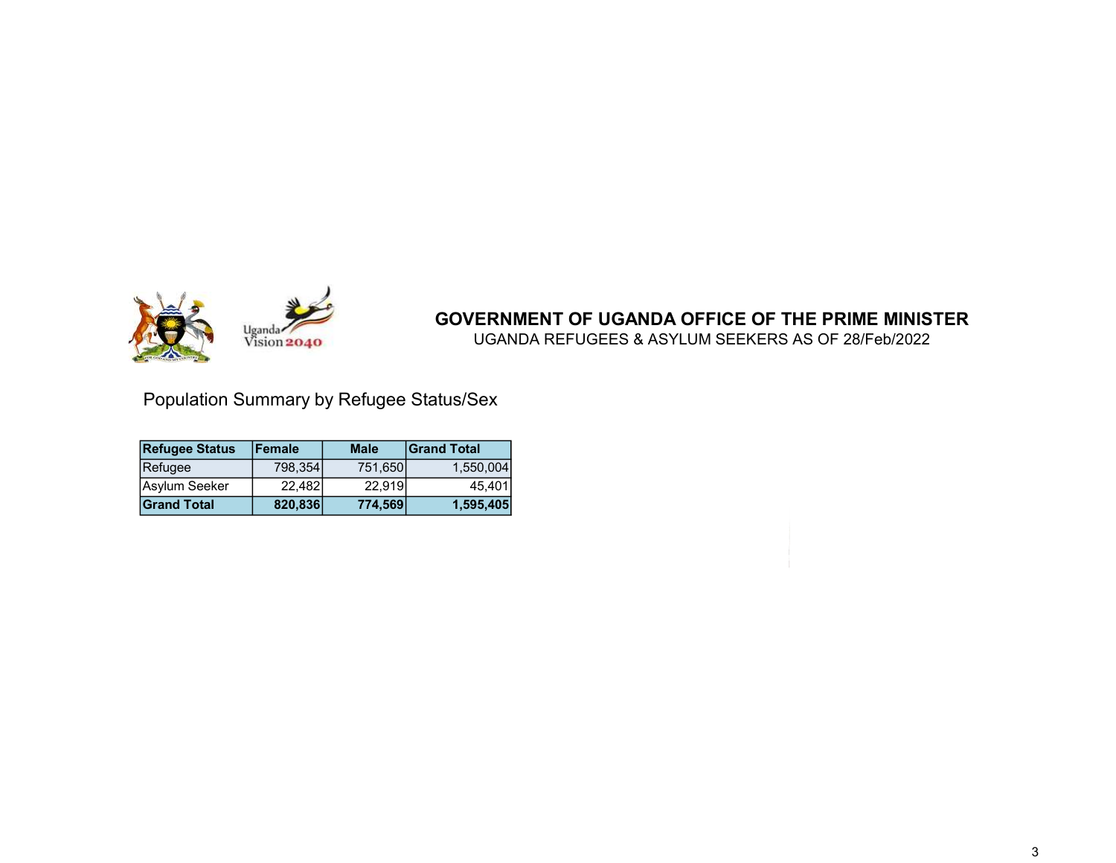

UGANDA REFUGEES & ASYLUM SEEKERS AS OF 28/Feb/2022

Population Summary by Refugee Status/Sex

| <b>Refugee Status</b> | <b>Female</b> | <b>Male</b> | <b>Grand Total</b> |
|-----------------------|---------------|-------------|--------------------|
| Refugee               | 798.354       | 751,650     | 1.550.004          |
| Asylum Seeker         | 22,482        | 22.919      | 45.401             |
| <b>Grand Total</b>    | 820,836       | 774,569     | 1,595,405          |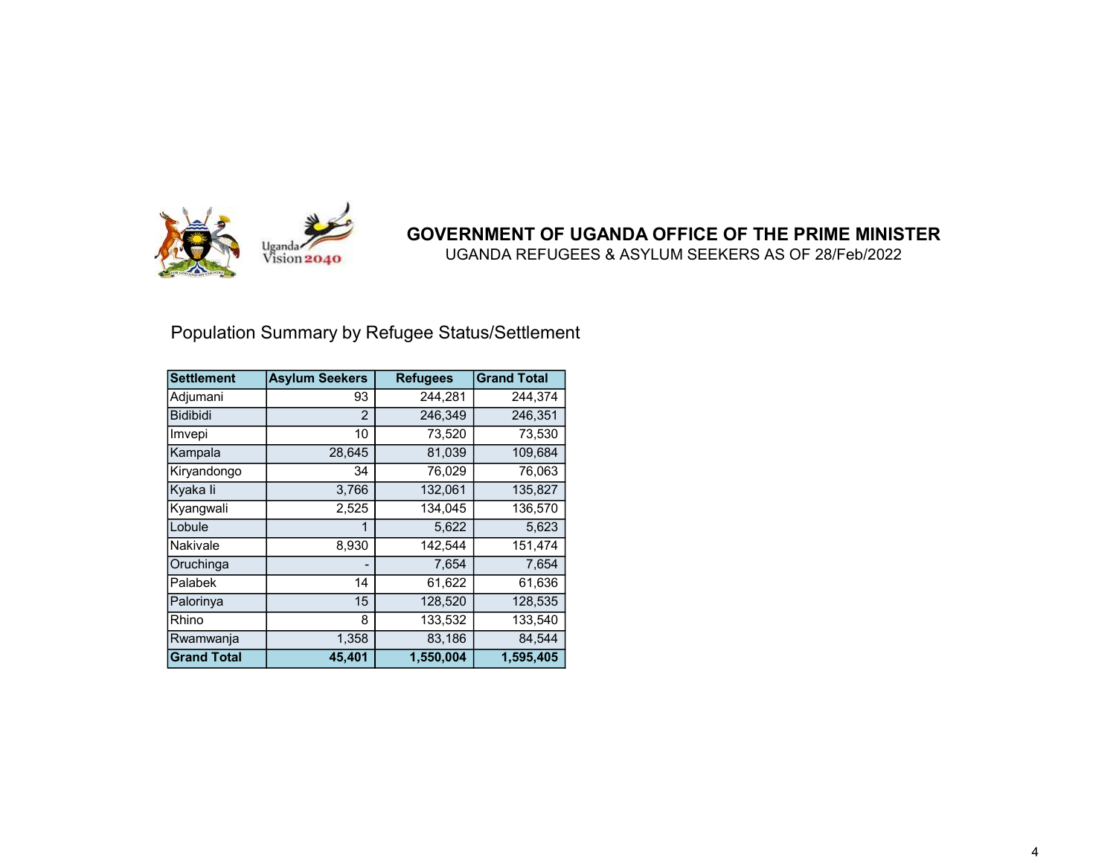

UGANDA REFUGEES & ASYLUM SEEKERS AS OF 28/Feb/2022

# Population Summary by Refugee Status/Settlement

| <b>Settlement</b>  | <b>Asylum Seekers</b> | <b>Refugees</b> | <b>Grand Total</b> |
|--------------------|-----------------------|-----------------|--------------------|
| Adjumani           | 93                    | 244,281         | 244,374            |
| <b>Bidibidi</b>    | 2                     | 246,349         | 246,351            |
| Imvepi             | 10                    | 73,520          | 73,530             |
| Kampala            | 28,645                | 81,039          | 109,684            |
| Kiryandongo        | 34                    | 76,029          | 76,063             |
| Kyaka li           | 3,766                 | 132,061         | 135,827            |
| Kyangwali          | 2,525                 | 134,045         | 136,570            |
| Lobule             |                       | 5,622           | 5,623              |
| Nakivale           | 8,930                 | 142,544         | 151,474            |
| Oruchinga          |                       | 7,654           | 7,654              |
| Palabek            | 14                    | 61,622          | 61,636             |
| Palorinya          | 15                    | 128,520         | 128,535            |
| Rhino              | 8                     | 133,532         | 133,540            |
| Rwamwanja          | 1,358                 | 83,186          | 84,544             |
| <b>Grand Total</b> | 45,401                | 1,550,004       | 1,595,405          |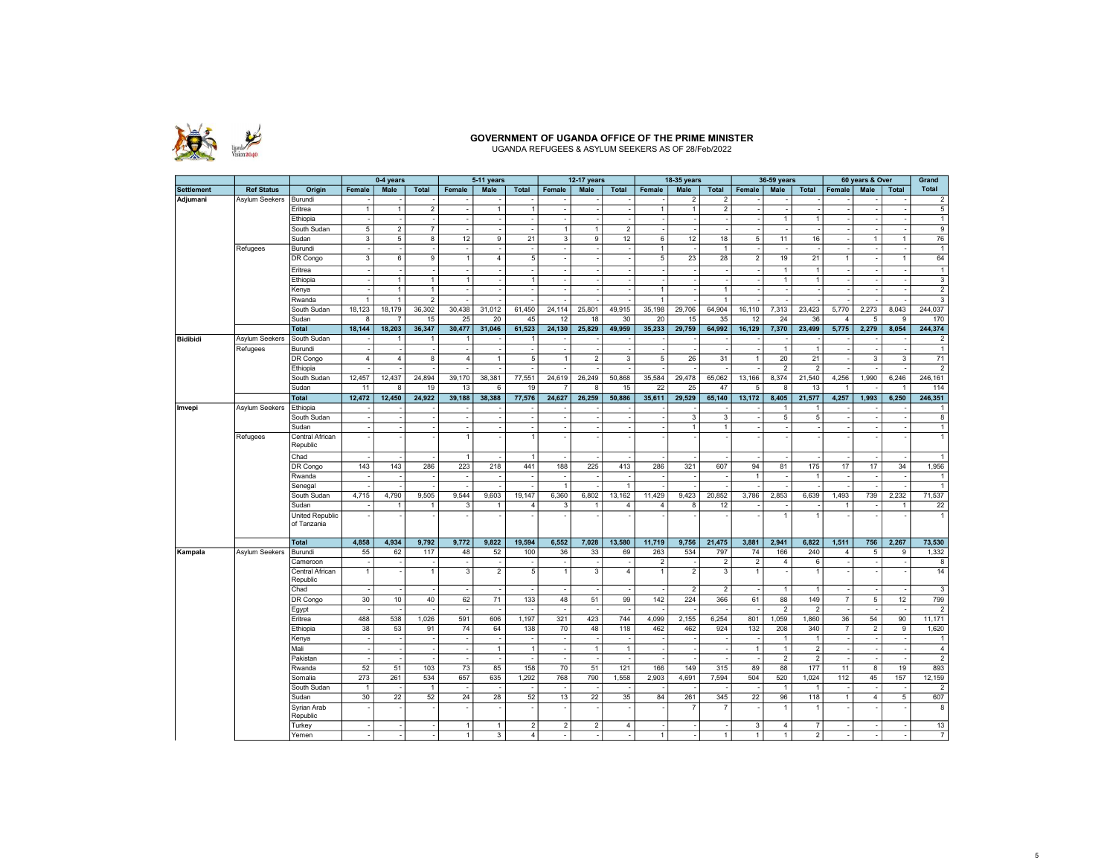

### GOVERNMENT OF UGANDA OFFICE OF THE PRIME MINISTER UGANDA REFUGEES & ASYLUM SEEKERS AS OF 28/Feb/2022

|                   |                   |                                |                         | 0-4 years               |                         |                          | 5-11 years               |                          |                | <b>12-17 years</b>      |                          |                 | 18-35 years          |                         |                          | 36-59 years    |                |                | 60 years & Over |                          | Grand                   |
|-------------------|-------------------|--------------------------------|-------------------------|-------------------------|-------------------------|--------------------------|--------------------------|--------------------------|----------------|-------------------------|--------------------------|-----------------|----------------------|-------------------------|--------------------------|----------------|----------------|----------------|-----------------|--------------------------|-------------------------|
| <b>Settlement</b> | <b>Ref Status</b> | Origin                         | Female                  | <b>Male</b>             | <b>Total</b>            | Female                   | <b>Male</b>              | <b>Total</b>             | Female         | Male                    | <b>Total</b>             | Female          | Male                 | <b>Total</b>            | Female                   | Male           | <b>Total</b>   | Female         | Male            | <b>Total</b>             | Total                   |
| Adjumani          | Asylum Seekers    | Burundi                        |                         |                         |                         |                          |                          |                          |                |                         |                          |                 | $\overline{2}$       | 2                       |                          |                |                |                |                 |                          | $\overline{2}$          |
|                   |                   | Eritrea                        | $\overline{1}$          | $\mathbf{1}$            | $\overline{2}$          | $\blacksquare$           | $\mathbf{1}$             | $\overline{1}$           |                |                         |                          | $\overline{1}$  | $\mathbf{1}$         | $\overline{\mathbf{c}}$ |                          |                |                |                |                 | $\overline{\phantom{a}}$ | $5\phantom{.0}$         |
|                   |                   | Ethiopia                       |                         |                         |                         | ÷.                       |                          | ÷.                       |                |                         |                          |                 | ÷.                   |                         | ÷.                       | $\overline{1}$ | $\overline{1}$ |                |                 |                          | $\mathbf{1}$            |
|                   |                   | South Sudan                    | $\overline{5}$          | $\overline{\mathbf{c}}$ | $\overline{7}$          | $\overline{\phantom{a}}$ |                          |                          |                | $\mathbf{1}$            | $\sqrt{2}$               |                 |                      |                         |                          |                |                |                |                 |                          | $\overline{9}$          |
|                   |                   | Sudan                          | $\overline{3}$          | 5                       | 8                       | 12                       | 9                        | 21                       | $\overline{3}$ | 9                       | 12                       | 6               | 12                   | 18                      | $\overline{5}$           | 11             | 16             |                | 1               | $\mathbf{1}$             | 76                      |
|                   | Refugees          | Burundi                        | $\sim$                  |                         | $\sim$                  | $\sim$                   | $\overline{\phantom{a}}$ | $\overline{\phantom{a}}$ | $\sim$         | $\sim$                  | $\overline{\phantom{a}}$ | $\overline{1}$  | $\sim$               | $\mathbf{1}$            | $\overline{\phantom{a}}$ |                |                |                | $\sim$          | $\sim$                   | $\overline{1}$          |
|                   |                   | DR Congo                       | $\overline{\mathbf{3}}$ | 6                       | $\overline{9}$          | $\overline{1}$           | $\overline{4}$           | 5                        |                |                         |                          | $5\overline{5}$ | 23                   | 28                      | $\overline{2}$           | 19             | 21             | $\mathbf{1}$   |                 | $\mathbf{1}$             | 64                      |
|                   |                   | Eritrea                        |                         |                         |                         | $\overline{\phantom{a}}$ |                          | $\overline{\phantom{a}}$ |                |                         |                          |                 |                      |                         |                          | $\mathbf{1}$   | $\mathbf{1}$   |                |                 |                          | $\mathbf{1}$            |
|                   |                   | Ethiopia                       |                         | $\ddot{\phantom{0}}$    | $\mathbf{1}$            | $\overline{1}$           |                          | $\overline{1}$           |                |                         |                          |                 |                      |                         |                          | $\mathbf{1}$   | $\overline{1}$ |                |                 |                          | $\overline{3}$          |
|                   |                   | Kenya                          |                         | $\mathbf{1}$            | $\mathbf{1}$            | $\sim$                   | $\overline{\phantom{a}}$ | $\sim$                   |                |                         |                          | $\overline{1}$  |                      | $\mathbf{1}$            |                          |                |                |                |                 | ٠.                       | $\overline{2}$          |
|                   |                   |                                | $\overline{1}$          | $\mathbf{1}$            | $\overline{2}$          | $\sim$                   |                          | ÷.                       |                |                         |                          | $\overline{1}$  |                      | $\mathbf{1}$            |                          |                |                |                |                 |                          | $\overline{3}$          |
|                   |                   | Rwanda                         | 18,123                  | 18,179                  | 36,302                  | 30,438                   | 31,012                   | 61,450                   | 24,114         | 25,801                  | 49,915                   | 35,198          | 29,706               | 64,904                  | 16,110                   |                | 23,423         | 5,770          | 2,273           | 8,043                    | 244,037                 |
|                   |                   | South Sudan                    |                         |                         |                         |                          |                          |                          |                |                         |                          |                 |                      |                         |                          | 7,313          |                |                |                 |                          |                         |
|                   |                   | Sudan                          | 8                       |                         | 15                      | 25                       | 20                       | 45                       | 12             | 18                      | 30                       | 20              | 15                   | 35                      | 12                       | 24             | 36             | $\overline{4}$ | 5               | 9                        | 170                     |
|                   |                   | <b>Total</b>                   | 18,144                  | 18,203                  | 36,347                  | 30,477                   | 31,046                   | 61,523                   | 24,130         | 25,829                  | 49,959                   | 35,233          | 29,759               | 64,992                  | 16,129                   | 7,370          | 23,499         | 5,775          | 2,279           | 8,054                    | 244,374                 |
| <b>Bidibidi</b>   | Asylum Seekers    | South Sudan                    |                         | $\mathbf{1}$            | $\mathbf{1}$            | $\mathbf{1}$             |                          | $\overline{1}$           |                |                         |                          |                 |                      |                         |                          |                |                |                |                 |                          | $\overline{2}$          |
|                   | Refugees          | Burundi                        |                         |                         |                         | $\sim$                   |                          |                          |                |                         |                          |                 |                      |                         |                          | $\overline{1}$ | $\overline{1}$ |                |                 |                          | $\overline{1}$          |
|                   |                   | DR Congo                       | $\overline{4}$          | $\overline{4}$          | $\overline{\mathbf{8}}$ | $\overline{4}$           | $\mathbf{1}$             | 5                        | $\mathbf{1}$   | $\overline{2}$          | 3                        | $\overline{5}$  | 26                   | 31                      | $\mathbf{1}$             | 20             | 21             |                | 3               | 3                        | 71                      |
|                   |                   | Ethiopia                       |                         |                         |                         | $\sim$                   |                          |                          |                |                         |                          |                 |                      |                         |                          | 2              | $\overline{2}$ |                |                 |                          | $\overline{2}$          |
|                   |                   | South Sudan                    | 12,457                  | 12,437                  | 24,894                  | 39,170                   | 38,381                   | 77,551                   | 24,619         | 26,249                  | 50,868                   | 35,584          | 29,478               | 65,062                  | 13,166                   | 8,374          | 21,540         | 4,256          | 1,990           | 6,246                    | 246,161                 |
|                   |                   | Sudan                          | 11                      | 8                       | 19                      | 13                       | 6                        | 19                       | 7              | 8                       | 15                       | 22              | 25                   | 47                      | 5                        | $\overline{8}$ | 13             | $\mathbf{1}$   |                 | $\mathbf{1}$             | 114                     |
|                   |                   | <b>Total</b>                   | 12,472                  | 12,450                  | 24,922                  | 39,188                   | 38,388                   | 77,576                   | 24,627         | 26,259                  | 50,886                   | 35,611          | 29,529               | 65,140                  | 13,172                   | 8,405          | 21,577         | 4,257          | 1,993           | 6,250                    | 246,351                 |
| Imvepi            | Asylum Seekers    | Ethiopia                       |                         |                         |                         | $\overline{\phantom{a}}$ |                          |                          |                |                         |                          |                 |                      |                         |                          | $\mathbf{1}$   | $\overline{1}$ |                |                 |                          | $\mathbf{1}$            |
|                   |                   | South Sudan                    |                         |                         |                         | $\overline{\phantom{a}}$ |                          | ۰.                       |                |                         |                          |                 | 3                    | 3                       |                          | 5              | 5              |                |                 | ٠.                       | $\boldsymbol{8}$        |
|                   |                   | Sudan                          |                         |                         |                         | $\overline{\phantom{a}}$ |                          | ۰.                       |                |                         |                          |                 | $\ddot{\phantom{0}}$ | $\mathbf{1}$            |                          |                |                |                |                 |                          | $\mathbf{1}$            |
|                   | Refugees          | Central African<br>Republic    |                         |                         |                         | $\mathbf{1}$             |                          | $\overline{1}$           |                |                         |                          |                 |                      |                         |                          |                |                |                |                 |                          | $\overline{1}$          |
|                   |                   | Chad                           |                         |                         |                         | $\overline{1}$           |                          | $\overline{1}$           |                |                         |                          |                 |                      |                         |                          |                |                |                |                 |                          | $\mathbf{1}$            |
|                   |                   | DR Congo                       | 143                     | 143                     | 286                     | 223                      | 218                      | 441                      | 188            | 225                     | 413                      | 286             | 321                  | 607                     | 94                       | 81             | 175            | 17             | 17              | 34                       | 1,956                   |
|                   |                   | Rwanda                         |                         |                         |                         | $\overline{\phantom{a}}$ |                          |                          |                |                         |                          |                 |                      |                         | $\mathbf{1}$             |                | $\overline{1}$ |                |                 |                          | $\mathbf{1}$            |
|                   |                   | Senegal                        |                         |                         |                         |                          |                          |                          |                |                         |                          |                 |                      |                         |                          |                |                |                |                 |                          | $\mathbf{1}$            |
|                   |                   | South Sudan                    | 4,715                   | 4,790                   | 9,505                   | 9,544                    | 9,603                    | 19,147                   | 6,360          | 6,802                   | 13,162                   | 11,429          | 9,423                | 20,852                  | 3,786                    | 2,853          | 6,639          | 1,493          | 739             | 2,232                    | 71,537                  |
|                   |                   | Sudan                          |                         | $\mathbf{1}$            | $\mathbf{1}$            | 3                        | $\overline{1}$           | $\overline{4}$           | 3              | $\overline{1}$          | $\overline{4}$           | $\overline{4}$  | 8                    | 12                      |                          |                |                | $\mathbf{1}$   |                 | $\overline{1}$           | 22                      |
|                   |                   | United Republic<br>of Tanzania |                         |                         |                         |                          |                          |                          |                |                         |                          |                 |                      |                         |                          | 1              | $\overline{1}$ |                |                 |                          | $\overline{1}$          |
|                   |                   | <b>Total</b>                   | 4,858                   | 4,934                   | 9,792                   | 9,772                    | 9,822                    | 19,594                   | 6,552          | 7,028                   | 13,580                   | 11,719          | 9,756                | 21,475                  | 3,881                    | 2,941          | 6,822          | 1,511          | 756             | 2,267                    | 73,530                  |
| Kampala           | Asylum Seekers    | Burundi                        | 55                      | 62                      | 117                     | 48                       | 52                       | 100                      | 36             | 33                      | 69                       | 263             | 534                  | 797                     | 74                       | 166            | 240            | 4              | 5               | 9                        | 1,332                   |
|                   |                   | Cameroon                       |                         |                         |                         | $\overline{\phantom{a}}$ | $\overline{\phantom{a}}$ | $\overline{\phantom{a}}$ | $\sim$         |                         |                          | $\overline{2}$  |                      | $\overline{2}$          | $\overline{2}$           | 4              | 6              |                | $\sim$          | $\overline{\phantom{a}}$ | $\overline{8}$          |
|                   |                   | Central African                | $\overline{1}$          |                         | $\mathbf{1}$            | $\overline{3}$           | $\overline{2}$           | 5                        |                | $\overline{\mathbf{3}}$ | $\overline{4}$           | $\overline{1}$  | $\overline{2}$       | 3                       | $\overline{1}$           |                | $\overline{1}$ |                |                 |                          | 14                      |
|                   |                   | Republic                       |                         |                         |                         |                          |                          |                          |                |                         |                          |                 |                      |                         |                          |                |                |                |                 |                          |                         |
|                   |                   | Chad                           |                         |                         |                         | $\sim$                   |                          |                          |                |                         |                          |                 | $\overline{2}$       | $\overline{2}$          |                          | $\mathbf{1}$   | $\overline{1}$ |                |                 |                          | $\overline{3}$          |
|                   |                   | DR Congo                       | 30                      | 10                      | 40                      | 62                       | 71                       | 133                      | 48             | 51                      | 99                       | 142             | 224                  | 366                     | 61                       | 88             | 149            | $\overline{7}$ | $\overline{5}$  | 12                       | 799                     |
|                   |                   | Egypt                          |                         |                         |                         | $\blacksquare$           |                          | ÷,                       |                |                         |                          |                 |                      |                         |                          | $\overline{2}$ | $\overline{2}$ |                |                 |                          | $\overline{2}$          |
|                   |                   | Eritrea                        | 488                     | 538                     | 1,026                   | 591                      | 606                      | 1,197                    | 321            | 423                     | 744                      | 4,099           | 2,155                | 6,254                   | 801                      | 1,059          | 1,860          | 36             | 54              | 90                       | 11,171                  |
|                   |                   | Ethiopia                       | 38                      | 53                      | 91                      | 74                       | 64                       | 138                      | 70             | 48                      | 118                      | 462             | 462                  | 924                     | 132                      | 208            | 340            | 7              | $\overline{2}$  | 9                        | 1,620                   |
|                   |                   |                                |                         |                         |                         | $\sim$                   |                          |                          |                |                         |                          |                 |                      |                         |                          | $\mathbf{1}$   | $\mathbf{1}$   |                |                 |                          | $\mathbf{1}$            |
|                   |                   | Kenya                          |                         |                         |                         |                          |                          |                          |                |                         |                          |                 |                      |                         |                          |                |                |                |                 |                          |                         |
|                   |                   | Mali                           |                         |                         |                         | $\overline{\phantom{a}}$ | $\mathbf{1}$             | $\overline{1}$           | $\sim$         | $\mathbf{1}$            | $\mathbf{1}$             |                 |                      |                         | $\overline{1}$           | $\mathbf{1}$   | $\overline{2}$ |                | $\sim$          | $\overline{\phantom{a}}$ | $\overline{4}$          |
|                   |                   | Pakistan                       |                         |                         |                         | $\sim$                   |                          |                          |                |                         |                          |                 |                      |                         |                          | $\overline{2}$ | $\overline{2}$ |                |                 |                          | $\overline{2}$          |
|                   |                   | Rwanda                         | 52                      | 51                      | 103                     | 73                       | 85                       | 158                      | 70             | 51                      | 121                      | 166             | 149                  | 315                     | 89                       | 88             | 177            | 11             | 8               | 19                       | 893                     |
|                   |                   | Somalia                        | 273                     | 261                     | 534                     | 657                      | 635                      | 1,292                    | 768            | 790                     | 1,558                    | 2,903           | 4,691                | 7,594                   | 504                      | 520            | 1,024          | 112            | 45              | 157                      | 12,159                  |
|                   |                   | South Sudan                    | $\overline{1}$          |                         | $\mathbf{1}$            | $\sim$                   |                          |                          |                |                         |                          |                 |                      |                         |                          | $\mathbf{1}$   |                |                |                 |                          | $\sqrt{2}$              |
|                   |                   | Sudan                          | 30                      | 22                      | 52                      | 24                       | 28                       | 52                       | 13             | 22                      | 35                       | 84              | 261                  | 345                     | 22                       | 96             | 118            | $\mathbf{1}$   | $\overline{4}$  | $\sqrt{5}$               | 607                     |
|                   |                   | Syrian Arab<br>Republic        |                         |                         |                         |                          |                          |                          |                |                         |                          |                 | 7                    | $\overline{7}$          |                          | $\overline{1}$ | $\overline{1}$ |                |                 |                          | $\overline{\mathbf{8}}$ |
|                   |                   | Turkey                         |                         |                         |                         | $\mathbf{1}$             | $\mathbf{1}$             | $\overline{2}$           | $\overline{2}$ | $\overline{2}$          | $\overline{4}$           |                 |                      |                         | 3                        | $\overline{4}$ | $\overline{7}$ |                |                 |                          | 13                      |
|                   |                   | Yemen                          |                         |                         |                         | $\mathbf{1}$             | 3                        | $\overline{4}$           |                |                         |                          | $\mathbf{1}$    |                      | 1                       | $\mathbf{1}$             | $\mathbf{1}$   | $\overline{2}$ |                |                 |                          | $\overline{7}$          |
|                   |                   |                                |                         |                         |                         |                          |                          |                          |                |                         |                          |                 |                      |                         |                          |                |                |                |                 |                          |                         |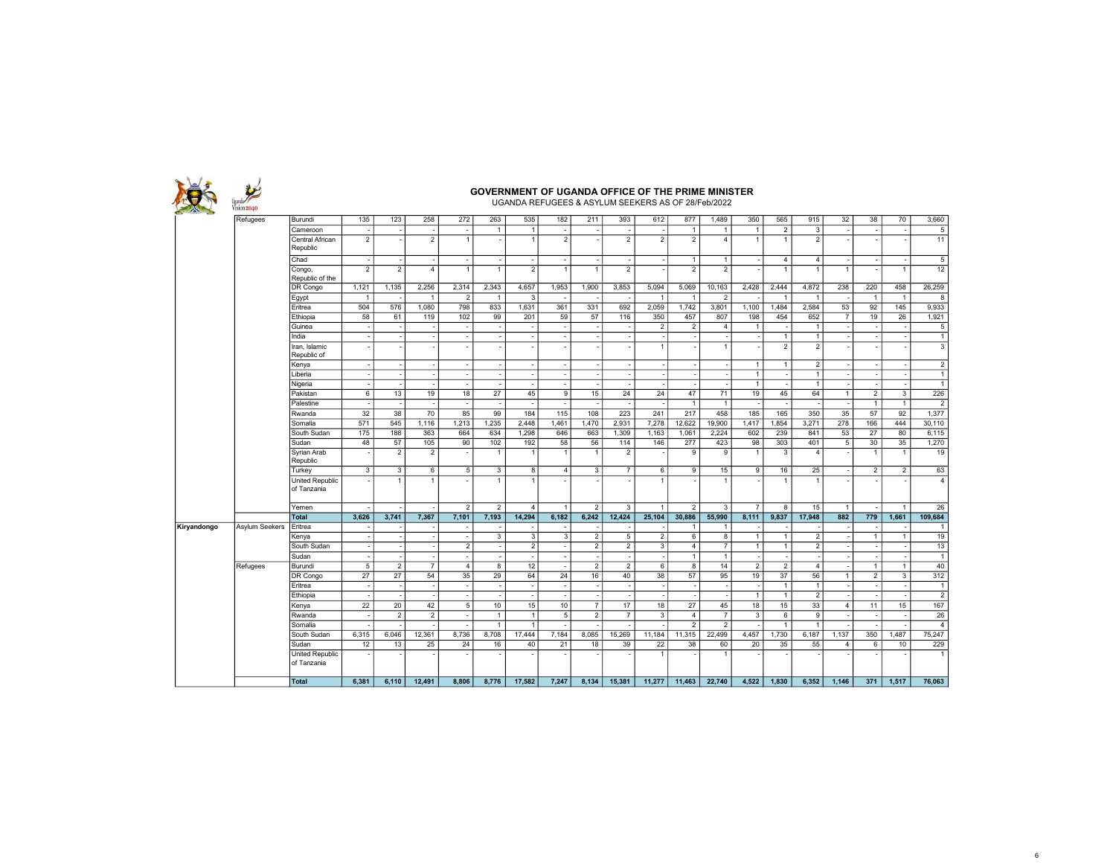| $ion$ 2040                           |                                |                |                          |                                 |                          | <b>GOVERNMENT OF UGANDA OFFICE OF THE PRIME MINISTER</b> | UGANDA REFUGEES & ASYLUM SEEKERS AS OF 28/Feb/2022 |                          |                          |                          |                |                          |                |                          |                                  |                                  |                 |                    |                          |                   |
|--------------------------------------|--------------------------------|----------------|--------------------------|---------------------------------|--------------------------|----------------------------------------------------------|----------------------------------------------------|--------------------------|--------------------------|--------------------------|----------------|--------------------------|----------------|--------------------------|----------------------------------|----------------------------------|-----------------|--------------------|--------------------------|-------------------|
| Refugees                             | Burundi                        | 135            | 123                      | 258                             | 272                      | 263                                                      | 535                                                | 182                      | 211                      | 393                      | 612            | 877                      | 1,489          | 350                      | 565                              | 915                              | 32              | 38                 | 70                       | 3,660             |
|                                      | Cameroon                       |                |                          |                                 | $\overline{\phantom{a}}$ | $\mathbf{1}$                                             | $\overline{1}$                                     | ٠.                       |                          |                          |                | $\overline{1}$           | $\overline{1}$ | $\overline{1}$           | $\overline{2}$                   | $\mathbf{3}$                     |                 |                    |                          | $\overline{5}$    |
|                                      | Central African<br>Republic    | $\overline{2}$ |                          | $\overline{2}$                  | $\overline{1}$           |                                                          | $\overline{1}$                                     | $\overline{2}$           |                          | $\overline{2}$           | $\overline{2}$ | $\overline{2}$           | $\overline{4}$ | $\overline{1}$           | $\mathbf{1}$                     | $\overline{2}$                   |                 |                    |                          | 11                |
|                                      | Chad                           |                | $\sim$                   |                                 | $\sim$                   | $\sim$                                                   | $\sim$                                             | $\overline{\phantom{a}}$ | $\overline{\phantom{a}}$ | $\overline{\phantom{a}}$ |                | $\overline{1}$           | $\overline{1}$ | $\overline{\phantom{a}}$ | $\overline{4}$                   | $\overline{4}$                   | $\sim$          |                    | . .                      | 5                 |
|                                      | Congo,<br>Republic of the      | $\overline{2}$ | $\overline{2}$           | $\overline{4}$                  |                          | $\overline{1}$                                           | $\overline{2}$                                     | $\mathbf{1}$             | $\overline{1}$           | $\overline{2}$           |                | $\overline{2}$           | $\overline{2}$ |                          |                                  | $\overline{1}$                   | $\overline{1}$  |                    | $\overline{1}$           | 12                |
|                                      | DR Congo                       | 1,121          | 1,135                    | 2,256                           | 2,314                    | 2,343                                                    | 4,657                                              | 1,953                    | 1,900                    | 3,853                    | 5,094          | 5,069                    | 10,163         | 2,428                    | 2,444                            | 4,872                            | 238             | 220                | 458                      | 26,259            |
|                                      | Egypt                          | $\overline{1}$ |                          | -1                              | $\overline{2}$           | $\overline{1}$                                           | 3                                                  |                          |                          |                          | $\overline{1}$ | $\overline{1}$           | $\overline{2}$ |                          | -1                               | $\overline{1}$                   |                 | $\overline{1}$     | $\overline{1}$           | $\boldsymbol{8}$  |
|                                      | Eritrea                        | 504            | 576                      | 1.080                           | 798                      | 833                                                      | 1,631                                              | 361                      | 331                      | 692                      | 2.059          | 1.742                    | 3.801          | 1.100                    | 1.484                            | 2.584                            | 53              | 92                 | 145                      | 9,933             |
|                                      | Ethiopia                       | 58             | 61                       | 119                             | 102                      | 99                                                       | 201                                                | 59                       | 57                       | 116                      | 350            | 457                      | 807            | 198                      | 454                              | 652                              | $\overline{7}$  | 19                 | 26                       | 1,921             |
|                                      | Guinea                         |                |                          |                                 |                          |                                                          |                                                    |                          |                          |                          | $\sqrt{2}$     | $\overline{2}$           | $\overline{4}$ | $\overline{1}$           |                                  | $\mathbf{1}$                     |                 |                    |                          | 5                 |
|                                      | India<br>Iran, Islamic         |                | $\overline{\phantom{a}}$ |                                 |                          | ÷.                                                       | $\sim$                                             | $\overline{\phantom{a}}$ | $\overline{\phantom{a}}$ | $\overline{\phantom{a}}$ | $\overline{1}$ |                          | $\overline{1}$ | $\sim$                   | $\overline{1}$<br>$\overline{2}$ | $\overline{1}$<br>$\overline{2}$ |                 |                    | $\overline{\phantom{a}}$ | $\mathbf{1}$<br>3 |
|                                      | Republic of                    |                |                          |                                 |                          |                                                          |                                                    |                          |                          |                          |                |                          |                |                          |                                  |                                  |                 |                    |                          |                   |
|                                      | Kenya                          |                | $\sim$                   |                                 | $\sim$                   | $\overline{\phantom{a}}$                                 | $\sim$                                             | $\overline{\phantom{a}}$ | $\sim$                   | $\overline{\phantom{a}}$ |                | $\overline{\phantom{a}}$ | ٠.             | $\overline{1}$           | $\mathbf{1}$                     | $\overline{2}$                   | $\sim$          | $\sim$             | ٠.                       | $\overline{2}$    |
|                                      | Liberia                        |                |                          |                                 |                          |                                                          | $\sim$                                             | $\overline{\phantom{a}}$ |                          | $\overline{\phantom{a}}$ |                |                          |                | $\overline{1}$           |                                  | $\mathbf{1}$                     |                 |                    |                          | $\mathbf{1}$      |
|                                      | Nigeria                        |                |                          |                                 | $\overline{\phantom{a}}$ |                                                          | $\sim$                                             | $\overline{\phantom{a}}$ |                          | $\sim$                   |                |                          |                | $\overline{1}$           |                                  | $\overline{1}$                   |                 |                    |                          | $\overline{1}$    |
|                                      | Pakistan                       | 6              | 13                       | 19                              | 18                       | $\overline{27}$                                          | 45                                                 | $\overline{9}$           | 15                       | 24                       | 24             | 47                       | 71             | 19                       | 45                               | 64                               | $\overline{1}$  | $\overline{2}$     | 3                        | 226               |
|                                      | Palestine                      |                |                          |                                 |                          |                                                          | $\sim$                                             | $\sim$                   |                          |                          |                | $\overline{1}$           | $\overline{1}$ |                          |                                  |                                  |                 | $\mathbf{1}$       | $\overline{1}$           | $\overline{2}$    |
|                                      | Rwanda                         | 32             | 38                       | 70                              | 85                       | 99                                                       | 184                                                | 115                      | 108                      | 223                      | 241            | 217                      | 458            | 185                      | 165                              | 350                              | $\overline{35}$ | 57                 | 92                       | 1,377             |
|                                      | Somalia                        | 571            | 545                      | 1,116                           | 1,213                    | 1,235                                                    | 2.448                                              | 1.461                    | 1,470                    | 2,931                    | 7,278          | 12.622                   | 19,900         | 1,417                    | 1,854                            | 3,271                            | 278             | 166                | 444                      | 30,110            |
|                                      | South Sudan                    | 175            | 188                      | 363                             | 664                      | 634                                                      | 1.298                                              | 646                      | 663                      | 1,309                    | 1,163          | 1,061                    | 2,224          | 602                      | 239                              | 841                              | 53              | 27                 | 80                       | 6,115             |
|                                      | Sudan<br>Syrian Arab           | 48             | 57<br>$\overline{2}$     | 105<br>$\overline{\phantom{a}}$ | 90                       | 102<br>$\mathbf{1}$                                      | 192<br>$\overline{1}$                              | 58<br>$\overline{1}$     | 56<br>$\overline{1}$     | 114<br>$\overline{2}$    | 146            | 277<br>9                 | 423<br>9       | 98<br>$\overline{1}$     | 303<br>3                         | 401<br>$\overline{4}$            | $\overline{5}$  | 30<br>$\mathbf{1}$ | 35<br>$\overline{1}$     | 1,270<br>19       |
|                                      | Republic<br>Turkey             | 3              | 3                        | 6                               | 5                        | 3                                                        | $\overline{8}$                                     | $\overline{4}$           | 3                        | $\overline{7}$           | 6              | 9                        | 15             | 9                        | 16                               | 25                               |                 | $\overline{2}$     | $\overline{2}$           | 63                |
|                                      | United Republic<br>of Tanzania |                | $\overline{1}$           |                                 |                          | $\mathbf{1}$                                             | $\mathbf{1}$                                       |                          |                          |                          | $\overline{1}$ |                          | $\overline{1}$ |                          | $\overline{1}$                   | $\overline{1}$                   |                 |                    |                          | $\overline{4}$    |
|                                      | Yemen                          |                |                          |                                 | $\overline{2}$           | $\overline{2}$                                           | $\vert$                                            | $\overline{1}$           | $\overline{2}$           | 3                        | $\overline{1}$ | $\overline{2}$           | 3              | $\overline{7}$           | 8                                | 15                               | $\mathbf{1}$    |                    | $\overline{1}$           | 26                |
|                                      | <b>Total</b>                   | 3.626          | 3,741                    | 7.367                           | 7.101                    | 7.193                                                    | 14.294                                             | 6.182                    | 6.242                    | 12,424                   | 25.104         | 30.886                   | 55.990         | 8.111                    | 9.837                            | 17.948                           | 882             | 779                | 1.661                    | 109,684           |
| <b>Asylum Seekers</b><br>Kiryandongo | Eritrea                        |                |                          |                                 |                          |                                                          | $\sim$                                             | $\overline{\phantom{a}}$ |                          |                          |                | $\overline{1}$           | $\overline{1}$ |                          |                                  |                                  |                 |                    |                          | $\mathbf{1}$      |
|                                      | Kenya                          |                |                          |                                 | $\overline{\phantom{a}}$ | 3                                                        | $\overline{3}$                                     | $\overline{\mathbf{3}}$  | $\overline{2}$           | 5                        | $\overline{2}$ | 6                        | 8              | $\overline{1}$           | $\mathbf{1}$                     | $\overline{2}$                   |                 | $\mathbf{1}$       | $\overline{1}$           | 19                |
|                                      | South Sudan                    |                |                          |                                 | $\overline{2}$           |                                                          | $\overline{2}$                                     | $\overline{\phantom{a}}$ | $\overline{2}$           | $\overline{2}$           | 3              | $\overline{4}$           | $\overline{7}$ | $\overline{1}$           | $\mathbf{1}$                     | $\overline{2}$                   |                 |                    |                          | 13                |
|                                      | Sudan                          |                |                          |                                 |                          |                                                          |                                                    | $\overline{\phantom{a}}$ |                          | ÷,                       |                | $\overline{1}$           | $\overline{1}$ |                          |                                  |                                  |                 |                    |                          | $\overline{1}$    |
| Refugees                             | Burundi                        | $\overline{5}$ | $\overline{2}$           | $\overline{7}$                  | $\overline{4}$           | $\overline{8}$                                           | 12                                                 | $\sim$                   | $\overline{2}$           | $\overline{2}$           | 6              | $\overline{\mathbf{8}}$  | 14             | $\overline{2}$           | $\overline{2}$                   | $\overline{4}$                   |                 | $\mathbf{1}$       | $\overline{1}$           | 40                |
|                                      | DR Congo                       | 27             | 27                       | 54                              | 35                       | 29                                                       | 64                                                 | 24                       | 16                       | 40                       | 38             | 57                       | 95             | 19                       | 37                               | 56                               | $\mathbf{1}$    | 2                  | 3                        | 312               |
|                                      | Eritrea                        |                |                          |                                 | $\overline{\phantom{a}}$ | $\overline{\phantom{a}}$                                 | $\sim$                                             | $\overline{\phantom{a}}$ | $\sim$                   | $\overline{\phantom{a}}$ |                |                          |                | ٠.                       | $\mathbf{1}$                     | $\overline{1}$                   |                 | $\sim$             |                          | $\vert$ 1         |
|                                      | Ethiopia                       |                |                          |                                 |                          |                                                          | $\sim$                                             | $\sim$                   |                          |                          |                |                          |                | $\overline{1}$           | $\mathbf{1}$                     | $\overline{2}$                   |                 |                    |                          | $\overline{2}$    |
|                                      | Kenya                          | 22             | 20                       | 42                              | 5                        | 10                                                       | 15                                                 | 10                       | $\overline{7}$           | 17                       | 18             | 27                       | 45             | 18                       | 15                               | 33                               | $\overline{4}$  | 11                 | 15                       | 167               |
|                                      | Rwanda                         |                | 2                        | 2                               |                          | $\overline{1}$                                           | $\vert$ 1                                          | $\overline{5}$           | $\overline{2}$           | $\overline{7}$           | 3              | $\overline{4}$           | $\overline{7}$ | 3                        | 6                                | 9                                |                 |                    |                          | 26                |
|                                      | Somalia                        |                |                          |                                 |                          | $\overline{1}$                                           | $\overline{1}$                                     | ÷.                       |                          |                          |                | $\overline{2}$           | $\overline{2}$ |                          | $\overline{1}$                   | $\overline{1}$                   |                 |                    |                          | $\overline{4}$    |
|                                      |                                |                | 6.046                    | 12,361                          | 8,736                    | 8,708                                                    | 17,444                                             | 7,184                    | 8,085                    | 15,269                   | 11,184         | 11.315                   | 22.499         | 4,457                    | 1,730                            | 6,187                            | 1,137           | 350                | 1.487                    | 75,247            |
|                                      | South Sudan                    | 6,315          |                          |                                 |                          |                                                          |                                                    |                          |                          |                          |                |                          |                |                          |                                  |                                  |                 |                    |                          |                   |
|                                      | Sudan                          | 12             | 13                       | 25                              | 24                       | 16                                                       | 40                                                 | 21                       | 18                       | 39                       | 22             | 38                       | 60             | 20                       | 35                               | 55                               | $\overline{4}$  | 6                  | 10                       | 229               |
|                                      | United Republic<br>of Tanzania |                |                          |                                 |                          |                                                          |                                                    |                          |                          |                          | $\overline{1}$ |                          |                |                          |                                  |                                  |                 |                    |                          | $\overline{1}$    |
|                                      | <b>Total</b>                   | 6,381          | 6,110                    | 12.491                          | 8,806                    | 8,776                                                    | 17,582                                             | 7,247                    | 8,134                    | 15,381                   | 11,277         | 11.463                   | 22.740         | 4,522                    | 1.830                            | 6,352                            | 1,146           | 371                | 1.517                    | 76.063            |

6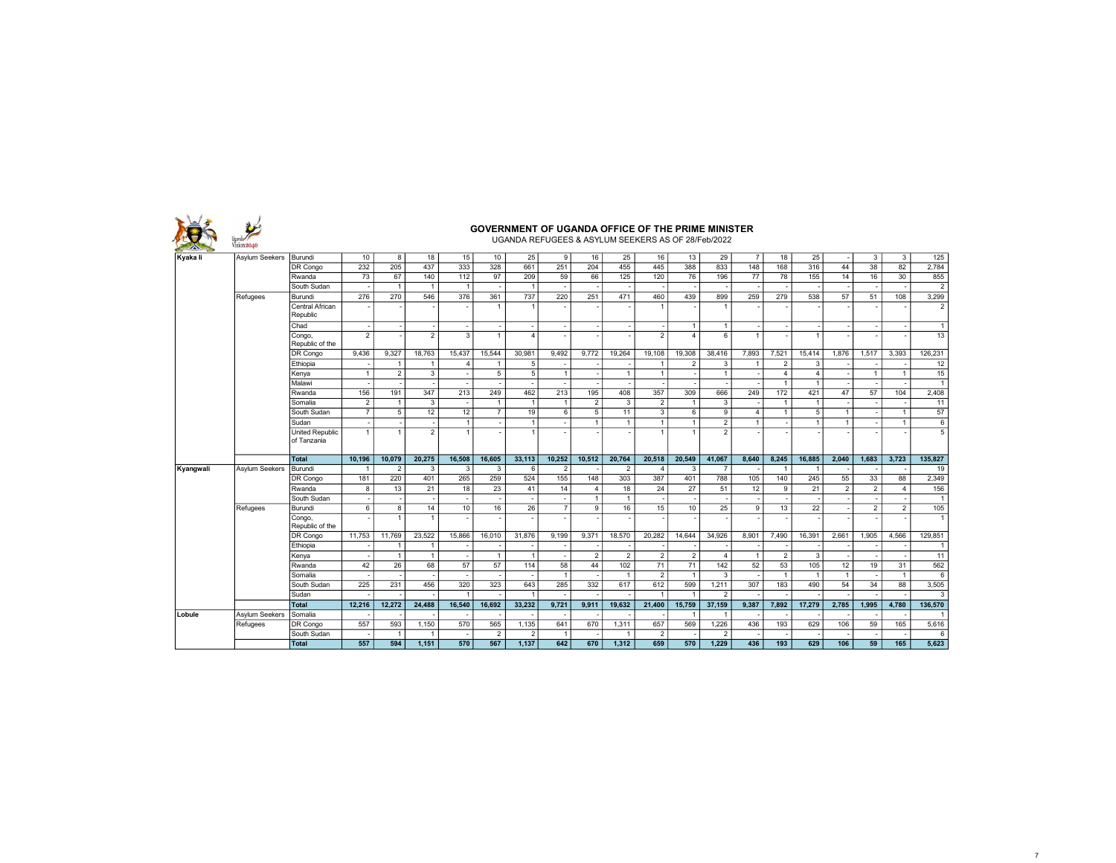|           | ision 2040            |                                |                |                |                |                          |                          | <b>GOVERNMENT OF UGANDA OFFICE OF THE PRIME MINISTER</b><br>UGANDA REFUGEES & ASYLUM SEEKERS AS OF 28/Feb/2022 |                          |                      |                         |                       |                  |                         |                 |                |                |                 |                 |                |                                             |
|-----------|-----------------------|--------------------------------|----------------|----------------|----------------|--------------------------|--------------------------|----------------------------------------------------------------------------------------------------------------|--------------------------|----------------------|-------------------------|-----------------------|------------------|-------------------------|-----------------|----------------|----------------|-----------------|-----------------|----------------|---------------------------------------------|
| Kyaka li  | <b>Asylum Seekers</b> | Burundi                        | 10             | 8              | 18             | 15                       | 10                       | 25                                                                                                             | 9                        | 16                   | 25                      | 16                    | 13               | 29                      | $\overline{7}$  | 18             | 25             |                 | 3               | 3              | 125                                         |
|           |                       | DR Congo                       | 232            | 205            | 437            | 333                      | 328                      | 661                                                                                                            | $\overline{251}$         | 204                  | 455                     | 445                   | 388              | 833                     | 148             | 168            | 316            | 44              | 38              | 82             | 2.784                                       |
|           |                       | Rwanda                         | 73             | 67             | 140            | 112                      | 97                       | 209                                                                                                            | 59                       | 66                   | 125                     | 120                   | 76               | 196                     | $\overline{77}$ | 78             | 155            | 14              | 16              | 30             | 855                                         |
|           |                       | South Sudan                    |                | $\overline{1}$ | $\overline{1}$ | $\overline{1}$           |                          | -1                                                                                                             |                          |                      |                         |                       |                  |                         |                 |                |                |                 |                 |                | $\overline{2}$                              |
|           | Refugees              | Burundi                        | 276            | 270            | 546            | 376                      | 361                      | 737                                                                                                            | 220                      | 251                  | 471                     | 460                   | 439              | 899                     | 259             | 279            | 538            | $\overline{57}$ | $\overline{51}$ | 108            | 3,299                                       |
|           |                       | Central African<br>Republic    |                |                |                | $\overline{\phantom{a}}$ | $\overline{1}$           |                                                                                                                |                          |                      |                         | $\overline{1}$        |                  | $\overline{1}$          |                 |                |                |                 |                 |                | $\overline{2}$                              |
|           |                       | Chad                           |                |                |                | $\overline{\phantom{a}}$ | $\overline{\phantom{a}}$ |                                                                                                                |                          |                      |                         |                       | $\mathbf{1}$     | $\mathbf{1}$            |                 |                |                |                 |                 |                | $\mathbf{1}$                                |
|           |                       | Congo,<br>Republic of the      | $\mathfrak{p}$ |                | $\overline{2}$ | 3                        | $\overline{1}$           | $\Delta$                                                                                                       |                          |                      |                         | $\mathcal{P}$         | $\overline{4}$   | 6                       | $\overline{1}$  |                | $\mathbf{1}$   |                 |                 |                | 13                                          |
|           |                       | DR Congo                       | 9.436          | 9.327          | 18.763         | 15.437                   | 15.544                   | 30.981                                                                                                         | 9.492                    | 9.772                | 19.264                  | 19.108                | 19.308           | 38.416                  | 7.893           | 7.521          | 15.414         | 1.876           | 1.517           | 3.393          | 126.231                                     |
|           |                       | Ethiopia                       |                |                |                | 4                        | $\overline{1}$           | 5                                                                                                              |                          |                      |                         | $\overline{1}$        | $\overline{2}$   | 3                       | $\overline{1}$  | $\overline{2}$ | 3              |                 |                 |                | 12                                          |
|           |                       | Kenya                          | $\overline{1}$ | $\overline{2}$ | 3              | $\overline{\phantom{a}}$ | 5                        | 5                                                                                                              | $\overline{1}$           |                      | $\mathbf{1}$            | $\mathbf{1}$          |                  | $\overline{1}$          |                 | $\overline{4}$ | $\Delta$       |                 | $\overline{1}$  | $\overline{1}$ | 15                                          |
|           |                       | Malawi                         |                |                |                | $\overline{\phantom{a}}$ | $\overline{\phantom{a}}$ |                                                                                                                |                          |                      |                         |                       |                  |                         |                 | $\overline{1}$ | $\overline{1}$ |                 |                 |                | $\mathbf{1}$                                |
|           |                       | Rwanda                         | 156            | 191            | 347            | 213                      | 249                      | 462                                                                                                            | 213                      | 195                  | 408                     | 357                   | 309              | 666                     | 249             | 172            | 421            | 47              | 57              | 104            | 2,408                                       |
|           |                       | Somalia                        | $\overline{2}$ | -1             | 3              | $\overline{\phantom{a}}$ | $\overline{1}$           | $\overline{1}$                                                                                                 |                          | $\overline{2}$       | 3                       | $\overline{2}$        | $\overline{1}$   | 3                       |                 | $\overline{1}$ | $\overline{1}$ |                 |                 |                | 11                                          |
|           |                       | South Sudan                    | $\overline{7}$ | 5              | 12             | 12                       | $\overline{7}$           | 19                                                                                                             | 6                        | 5                    | 11                      | 3                     | 6                | 9                       | $\overline{4}$  | $\mathbf{1}$   | 5              | $\overline{1}$  |                 | $\overline{1}$ | 57                                          |
|           |                       | Sudan                          |                |                |                | $\overline{1}$           |                          | -1                                                                                                             |                          | $\mathbf{1}$         | $\mathbf{1}$            | $\mathbf{1}$          | $\overline{1}$   | $\overline{2}$          | $\overline{1}$  |                | $\overline{1}$ | $\overline{1}$  |                 | $\overline{1}$ | 6                                           |
|           |                       | United Republic<br>of Tanzania | 1              |                | $\overline{2}$ | $\mathbf{1}$             |                          |                                                                                                                |                          |                      |                         | $\overline{1}$        | $\overline{1}$   | $\overline{2}$          |                 |                |                |                 |                 |                | 5                                           |
|           |                       | Total                          | 10,196         | 10.079         | 20.275         | 16,508                   | 16,605                   | 33,113                                                                                                         | 10.252                   | 10,512               | 20,764                  | 20,518                | 20,549           | 41,067                  | 8,640           | 8,245          | 16,885         | 2.040           | 1,683           | 3,723          | 135,827                                     |
| Kyangwali | <b>Asvlum Seekers</b> | Burundi                        |                | $\mathcal{P}$  | 3              | 3                        | 3                        | 6                                                                                                              | $\overline{\phantom{a}}$ |                      | 2                       | $\Delta$              | 3                | $\overline{7}$          |                 | $\overline{1}$ |                |                 |                 |                | 19                                          |
|           |                       | DR Congo                       | 181            | 220            | 401            | 265                      | 259                      | 524                                                                                                            | 155                      | 148                  | 303                     | 387                   | 401              | 788                     | 105             | 140            | 245            | 55              | 33              | 88             | 2,349                                       |
|           |                       | Rwanda                         | 8              | 13             | 21             | 18                       | 23                       | 41                                                                                                             | 14                       | $\overline{4}$       | 18                      | 24                    | 27               | 51                      | 12              | 9              | 21             | 2               | $\overline{2}$  | $\overline{4}$ | 156                                         |
|           |                       | South Sudan                    |                |                |                |                          | $\overline{\phantom{a}}$ |                                                                                                                |                          | $\blacktriangleleft$ | $\overline{1}$          |                       |                  |                         |                 |                |                |                 |                 |                | $\mathbf{1}$                                |
|           | Refugees              | Burundi                        | 6              | 8              | 14             | 10                       | 16                       | 26                                                                                                             | $\overline{7}$           | 9                    | 16                      | 15                    | 10 <sup>10</sup> | 25                      | 9               | 13             | 22             |                 | $\overline{2}$  | $\overline{2}$ | 105                                         |
|           |                       | Congo,<br>Republic of the      |                | $\overline{1}$ | $\overline{1}$ | ٠                        |                          |                                                                                                                |                          |                      |                         |                       |                  |                         |                 |                |                |                 |                 |                | $\mathbf{1}$                                |
|           |                       |                                |                | 11,769         | 23.522         | 15,866                   | 16.010                   | 31,876                                                                                                         | 9.199                    | 9.371                | 18.570                  | 20.282                | 14.644           | 34.926                  | 8.901           | 7.490          | 16.391         | 2.661           | 1.905           | 4.566          | 129.851                                     |
|           |                       | DR Congo                       | 11.753         |                |                |                          |                          |                                                                                                                |                          |                      |                         |                       |                  |                         |                 |                |                |                 |                 |                |                                             |
|           |                       | Ethiopia                       |                |                | -1             |                          |                          |                                                                                                                |                          |                      |                         |                       |                  |                         |                 |                |                |                 |                 |                |                                             |
|           |                       | Kenya                          |                |                | $\overline{1}$ | ٠.                       | $\overline{1}$           | $\overline{1}$                                                                                                 |                          | 2                    | $\overline{2}$          | $\overline{2}$        | $\overline{2}$   | $\overline{4}$          | $\overline{1}$  | $\overline{2}$ | 3              |                 |                 |                |                                             |
|           |                       | Rwanda                         | 42             | 26             | 68             | 57                       | 57                       | 114                                                                                                            | 58                       | 44                   | 102                     | 71                    | 71               | 142                     | 52              | 53             | 105            | 12              | 19              | 31             | 562                                         |
|           |                       | Somalia                        |                |                |                | $\overline{\phantom{a}}$ |                          |                                                                                                                | $\overline{1}$           |                      | $\mathbf{1}$            | $\overline{2}$        | $\overline{1}$   | 3                       |                 | $\overline{1}$ | $\overline{1}$ | $\overline{1}$  |                 | $\overline{1}$ | 6                                           |
|           |                       | South Sudan                    | 225            | 231            | 456            | 320                      | 323                      | 643                                                                                                            | 285                      | 332                  | 617                     | 612                   | 599              | 1.211                   | 307             | 183            | 490            | 54              | 34              | 88             | 3,505                                       |
|           |                       | Sudan                          |                |                |                | 1                        |                          |                                                                                                                |                          |                      |                         | $\overline{1}$        | $\overline{1}$   | $\mathcal{P}$           |                 |                |                |                 |                 |                | 3                                           |
|           |                       | <b>Total</b>                   | 12.216         | 12.272         | 24,488         | 16.540                   | 16.692                   | 33.232                                                                                                         | 9.721                    | 9.911                | 19.632                  | 21.400                | 15.759           | 37,159                  | 9.387           | 7.892          | 17.279         | 2.785           | 1.995           | 4.780          | 136.570                                     |
| Lobule    | Asylum Seekers        | Somalia                        |                |                |                |                          |                          |                                                                                                                |                          |                      |                         |                       | -1               |                         |                 |                |                |                 |                 |                |                                             |
|           | Refugees              | DR Congo                       | 557            | 593            | 1,150          | 570                      | 565                      | 1,135                                                                                                          | 641                      | 670                  | 1,311                   | 657                   | 569              | 1,226                   | 436             | 193            | 629            | 106             | 59              | 165            | $\mathbf{1}$<br>11<br>$\mathbf{1}$<br>5,616 |
|           |                       | South Sudan<br><b>Total</b>    | 557            | 594            | 1.151          | 570                      | $\overline{2}$<br>567    | $\mathcal{P}$<br>1.137                                                                                         | 642                      | 670                  | $\overline{1}$<br>1.312 | $\overline{2}$<br>659 | 570              | $\overline{2}$<br>1.229 | 436             | 193            | 629            | 106             | 59              | 165            | 6<br>5,623                                  |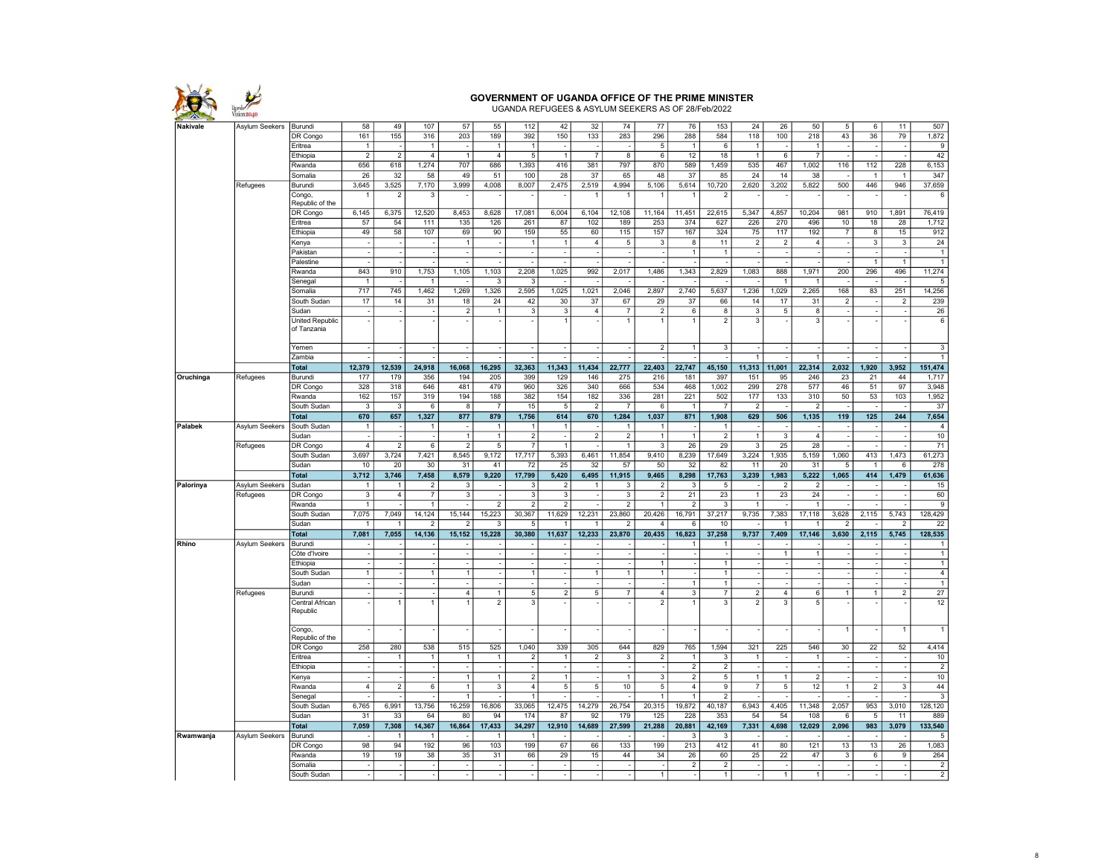

UGANDA REFUGEES & ASYLUM SEEKERS AS OF 28/Feb/2022

| Nakivale  | Asylum Seekers | Burundi                   | 58                      | 49                   | 107            | 57                             | 55                       | 112                              | 42                       | 32             | 74                   | 77                             | 76                         | 153                            | 24                      | 26              | 50                      | 5              | 6              | 11                       | 507                              |
|-----------|----------------|---------------------------|-------------------------|----------------------|----------------|--------------------------------|--------------------------|----------------------------------|--------------------------|----------------|----------------------|--------------------------------|----------------------------|--------------------------------|-------------------------|-----------------|-------------------------|----------------|----------------|--------------------------|----------------------------------|
|           |                | DR Congo                  | 161                     | 155                  | 316            | 203                            | 189                      | 392                              | 150                      | 133            | 283                  | 296                            | 288                        | 584                            | 118                     | 100             | 218                     | 43             | 36             | $\overline{79}$          | 1,872                            |
|           |                | Eritrea                   | $\mathbf{1}$            |                      | $\mathbf{1}$   |                                | $\overline{1}$           | $\overline{1}$                   |                          |                |                      | 5                              | $\overline{1}$             | 6                              | $\overline{1}$          |                 | $\mathbf{1}$            |                |                |                          | 9                                |
|           |                | Ethiopia                  | $\overline{2}$          | $\overline{2}$       | $\overline{4}$ | $\overline{1}$                 | $\overline{4}$           | $\overline{5}$                   | $\overline{1}$           | $\overline{7}$ | 8                    | $6\overline{6}$                | 12                         | 18                             | $\overline{1}$          | $\,6\,$         | $\overline{7}$          |                |                | $\overline{a}$           | 42                               |
|           |                | Rwanda                    | 656                     | 618                  | 1,274          | 707                            | 686                      | 1,393                            | 416                      | 381            | 797                  | 870                            | 589                        | 1,459                          | 535                     | 467             | 1,002                   | 116            | 112            | 228                      | 6,153                            |
|           |                | Somalia                   | 26                      | 32                   | 58             | 49                             | 51                       | 100                              | 28                       | 37             | 65                   | 48                             | 37                         | 85                             | 24                      | 14              | 38                      |                | $\overline{1}$ | $\mathbf{1}$             | 347                              |
|           | Refugees       | Burundi                   | 3,645                   | 3,525                | 7,170          | 3,999                          | 4,008                    | 8,007                            | 2,475                    | 2,519          | 4,994                | 5,106                          | 5,614                      | 10,720                         | 2,620                   | 3,202           | 5,822                   | 500            | 446            | 946                      | 37,659                           |
|           |                |                           |                         | $\mathcal{D}$        | 3              |                                |                          |                                  |                          |                |                      | 1                              | $\overline{1}$             | $\overline{2}$                 |                         |                 |                         |                |                |                          | 6                                |
|           |                | Congo,<br>Republic of the |                         |                      |                |                                |                          |                                  |                          |                |                      |                                |                            |                                |                         |                 |                         |                |                |                          |                                  |
|           |                | DR Congo                  | 6,145                   | 6,375                | 12,520         | 8,453                          | 8,628                    | 17,081                           | 6,004                    | 6,104          | 12,108               | 11,164                         | 11,451                     | 22,615                         | 5,347                   | 4,857           | 10,204                  | 981            | 910            | 1,891                    | 76,419                           |
|           |                | Eritrea                   | 57                      | 54                   | 111            | 135                            | 126                      | 261                              | 87                       | 102            | 189                  | 253                            | 374                        | 627                            | 226                     | 270             | 496                     | 10             | 18             | 28                       | 1,712                            |
|           |                |                           |                         | 58                   | 107            | 69                             | 90                       | 159                              |                          | 60             |                      |                                | 167                        | 324                            |                         |                 | 192                     |                |                |                          |                                  |
|           |                | Ethiopia                  | 49                      |                      |                |                                |                          |                                  | 55                       |                | 115                  | 157                            |                            |                                | 75                      | 117             |                         | $\overline{7}$ | 8              | 15                       | 912                              |
|           |                | Kenya                     |                         |                      |                | $\mathbf{1}$                   |                          | $\overline{1}$                   | $\overline{1}$           | $\overline{4}$ | 5                    | 3                              | 8                          | 11                             | $\overline{2}$          | $\overline{2}$  | $\overline{4}$          |                | 3              | 3                        | 24                               |
|           |                | Pakistan                  |                         |                      |                | ÷.                             |                          | ÷.                               |                          |                |                      |                                | $\overline{1}$             | $\overline{1}$                 |                         |                 |                         |                |                |                          | $\overline{1}$                   |
|           |                | Palestine                 |                         |                      |                |                                |                          |                                  |                          |                |                      |                                |                            |                                |                         |                 |                         |                | 1              | 1                        | 1                                |
|           |                | Rwanda                    | 843                     | 910                  | 1,753          | 1,105                          | 1,103                    | 2,208                            | 1,025                    | 992            | 2,017                | 1,486                          | 1,343                      | 2,829                          | 1,083                   | 888             | 1,971                   | 200            | 296            | 496                      | 11,274                           |
|           |                | Senegal                   | $\overline{1}$          |                      | $\overline{1}$ | ÷,                             | 3                        | 3                                |                          |                |                      |                                |                            |                                |                         | $\overline{1}$  | $\mathbf{1}$            |                |                |                          | 5                                |
|           |                | Somalia                   | 717                     | 745                  | 1.462          | 1.269                          | 1.326                    | 2.595                            | 1.025                    | 1.021          | 2.046                | 2.897                          | 2.740                      | 5.637                          | 1,236                   | 1.029           | 2.265                   | 168            | 83             | 251                      | 14,256                           |
|           |                | South Sudan               | 17                      | 14                   | 31             | 18                             | 24                       | 42                               | 30                       | 37             | 67                   | 29                             | 37                         | 66                             | 14                      | 17              | 31                      | 2              |                | $\overline{2}$           | 239                              |
|           |                | Sudan                     |                         |                      |                | $\overline{2}$                 | $\mathbf{1}$             | $\overline{3}$                   | 3                        | $\overline{4}$ | $\overline{7}$       | $\boldsymbol{2}$               | 6                          | 8                              | $\overline{\mathbf{3}}$ | 5               | 8                       |                |                |                          | 26                               |
|           |                | United Republic           |                         |                      |                |                                |                          |                                  | 1                        |                | 1                    | $\overline{1}$                 | $\mathbf{1}$               | $\overline{2}$                 | $\overline{\mathbf{3}}$ |                 | $\overline{\mathbf{3}}$ |                |                |                          | $6\overline{6}$                  |
|           |                | of Tanzania               |                         |                      |                |                                |                          |                                  |                          |                |                      |                                |                            |                                |                         |                 |                         |                |                |                          |                                  |
|           |                |                           |                         |                      |                |                                |                          |                                  |                          |                |                      |                                |                            |                                |                         |                 |                         |                |                |                          |                                  |
|           |                | Yemen                     |                         |                      |                | $\mathcal{L}_{\mathcal{A}}$    |                          | ×,                               |                          |                |                      | $\overline{2}$                 | $\mathbf{1}$               | 3                              |                         |                 |                         |                |                |                          | 3                                |
|           |                | Zambia                    |                         |                      |                |                                |                          |                                  |                          |                |                      |                                |                            |                                | 1                       |                 | 1                       |                |                |                          | 1                                |
|           |                | <b>Total</b>              | 12,379                  | 12,539               | 24,918         | 16,068                         | 16,295                   | 32,363                           | 11,343                   | 11,434         | 22,777               | 22,403                         | 22,747                     | 45,150                         | 11,313                  | 11,001          | 22,314                  | 2,032          | 1,920          | 3,952                    | 151,474                          |
| Oruchinga | Refugees       | Burundi                   | 177                     | 179                  | 356            | 194                            | 205                      | 399                              | 129                      | 146            | 275                  | 216                            | 181                        | 397                            | 151                     | 95              | 246                     | 23             | 21             | 44                       | 1,717                            |
|           |                | DR Congo                  | 328                     | 318                  | 646            | 481                            | 479                      | 960                              | 326                      | 340            | 666                  | 534                            | 468                        | 1,002                          | 299                     | 278             | 577                     | 46             | 51             | $\overline{97}$          | 3,948                            |
|           |                | Rwanda                    | 162                     | 157                  | 319            | 194                            | 188                      | 382                              | 154                      | 182            | 336                  | 281                            | 221                        | 502                            | 177                     | 133             | 310                     | 50             | 53             | 103                      | 1,952                            |
|           |                | South Sudan               | 3                       | 3                    | 6              | $\overline{8}$                 | $\overline{7}$           | 15                               | $\overline{5}$           | $\overline{2}$ | $\overline{7}$       | 6                              | $\overline{1}$             | $\overline{7}$                 | $\overline{2}$          |                 | $\overline{2}$          |                |                |                          | 37                               |
|           |                | <b>Total</b>              | 670                     | 657                  | 1,327          | 877                            | 879                      | 1,756                            | 614                      | 670            | 1,284                | 1,037                          | 871                        | 1,908                          | 629                     | 506             | 1,135                   | 119            | 125            | 244                      | 7,654                            |
|           | Asylum Seekers | South Sudan               | $\overline{1}$          |                      | 1              | $\sim$                         | 1                        | $\overline{1}$                   | $\mathbf{1}$             |                | -1                   | 1                              |                            | $\overline{1}$                 |                         |                 |                         |                |                |                          | $\overline{4}$                   |
| Palabek   |                |                           |                         |                      |                | $\mathbf{1}$                   | $\mathbf{1}$             |                                  |                          |                | $\mathcal{P}$        |                                | $\mathbf{1}$               |                                | $\overline{1}$          | 3               | $\overline{4}$          |                |                |                          |                                  |
|           |                | Sudan                     | $\overline{4}$          | $\overline{2}$       | 6              | $\overline{2}$                 | $\overline{5}$           | $\overline{2}$<br>$\overline{7}$ |                          | $\overline{2}$ | 1                    | $\mathbf{1}$<br>$\overline{3}$ | 26                         | $\overline{2}$<br>29           | $\overline{\mathbf{3}}$ | 25              | 28                      |                |                |                          | 10<br>$\overline{71}$            |
|           | Refugees       | DR Congo                  |                         |                      |                |                                |                          |                                  |                          |                |                      |                                |                            |                                |                         |                 |                         |                |                |                          |                                  |
|           |                | South Sudan               | 3,697                   | 3,724                | 7,421          | 8,545                          | 9,172                    | 17,717<br>72                     | 5,393                    | 6,461          | 11,854               | 9,410                          | 8,239                      | 17,649                         | 3,224                   | 1,935           | 5,159                   | 1,060          | 413            | 1,473                    | 61,273                           |
|           |                |                           |                         |                      |                |                                |                          |                                  | 25                       | 32             | 57                   | 50                             | 32                         | 82                             | 11                      | 20              | 31                      | 5              | $\mathbf{1}$   | 6                        | 278                              |
|           |                | Sudan                     | 10                      | 20                   | 30             | 31                             | 41                       |                                  |                          |                |                      |                                |                            |                                |                         |                 |                         |                |                |                          |                                  |
|           |                | <b>Total</b>              | 3,712                   | 3,746                | 7,458          | 8,579                          | 9,220                    | 17,799                           | 5,420                    | 6,495          | 11,915               | 9,465                          | 8,298                      | 17,763                         | 3,239                   | 1,983           | 5,222                   | 1,065          | 414            | 1,479                    | 61,636                           |
| Palorinya | Asylum Seekers | Sudan                     | $\overline{1}$          |                      | $\overline{2}$ | $\overline{3}$                 |                          | 3                                | $\overline{\phantom{a}}$ | 1              | 3                    | $\overline{2}$                 | 3                          | $\overline{5}$                 |                         | $\overline{2}$  | $\overline{2}$          |                |                |                          | 15                               |
|           | Refugees       | DR Congo                  | $\overline{\mathbf{3}}$ | 4                    |                | $\overline{3}$                 | $\overline{\phantom{a}}$ | 3                                | 3                        |                | 3                    | $\overline{2}$                 | 21                         | 23                             | $\mathbf{1}$            | 23              | 24                      | $\sim$         |                | ÷.                       | 60                               |
|           |                | Rwanda                    | $\overline{1}$          |                      | $\mathbf{1}$   | $\sim$                         | $\overline{2}$           | $\overline{2}$                   | $\overline{\phantom{a}}$ |                | 2                    | $\mathbf{1}$                   | $\overline{2}$             | 3                              | $\overline{1}$          |                 | 1                       |                |                |                          | 9                                |
|           |                | South Sudan               | 7,075                   | 7,049                | 14,124         | 15,144                         | 15,223                   | 30,367                           | 11,629                   | 12,231         | 23,860               | 20,426                         | 16,791                     | 37,217                         | 9,735                   | 7,383           | 17,118                  | 3,628          | 2,115          | 5,743                    | 128,429                          |
|           |                | Sudan                     |                         |                      | $\overline{2}$ | $\overline{2}$                 | 3                        | 5                                |                          | 1              | $\overline{2}$       | $\overline{4}$                 | 6                          | 10                             |                         |                 |                         | $\overline{2}$ |                | $\overline{2}$           | 22                               |
|           |                | <b>Total</b>              | 7,081                   | 7,055                | 14,136         | 15,152                         | 15,228                   | 30,380                           | 11,637                   | 12,233         | 23,870               | 20,435                         | 16,823                     | 37,258                         | 9,737                   | 7,409           | 17,146                  | 3,630          | 2,115          | 5,745                    | 128,535                          |
| Rhino     | Asylum Seekers | Burundi                   |                         |                      |                |                                |                          |                                  |                          |                |                      |                                |                            |                                |                         |                 |                         |                |                |                          | 1                                |
|           |                | Côte d'Ivoire             |                         |                      |                | $\sim$                         |                          | $\overline{\phantom{a}}$         |                          |                |                      |                                |                            |                                |                         | $\mathbf{1}$    | 1                       |                |                |                          | $\overline{1}$                   |
|           |                |                           |                         |                      |                | ×                              |                          | ÷.                               |                          |                |                      | $\mathbf{1}$                   |                            | $\mathbf{1}$                   |                         | ÷,              |                         |                |                |                          | $\mathbf{1}$                     |
|           |                | Ethiopia                  | $\mathbf{1}$            |                      | 1              | $\overline{1}$                 |                          | $\overline{1}$                   |                          | 1              | $\ddot{\phantom{1}}$ | $\overline{1}$                 |                            | $\overline{1}$                 |                         |                 |                         |                |                |                          |                                  |
|           |                | South Sudan<br>Sudan      |                         |                      |                | $\sim$                         |                          | $\sim$                           |                          |                |                      |                                | $\mathbf{1}$               | $\mathbf{1}$                   |                         |                 |                         |                |                |                          | $\overline{4}$<br>$\mathbf{1}$   |
|           |                |                           |                         |                      |                |                                | $\mathbf{1}$             |                                  |                          |                | $\overline{7}$       |                                |                            |                                |                         |                 |                         | $\mathbf{1}$   |                |                          |                                  |
|           | Refugees       | Burundi                   |                         | 1                    | 1              | $\overline{4}$<br>$\mathbf{1}$ |                          | $\sqrt{5}$                       | $\overline{2}$           | $\sqrt{5}$     |                      | $\sqrt{4}$                     | $\sqrt{3}$<br>$\mathbf{1}$ | $\overline{7}$                 | $\overline{2}$          | $\overline{4}$  | $6\overline{6}$         |                | $\mathbf{1}$   | $\overline{2}$           | 27                               |
|           |                | Central African           |                         |                      |                |                                | $\overline{2}$           | 3                                |                          |                |                      | $\overline{2}$                 |                            | 3                              | $\overline{2}$          | 3               | 5                       |                |                |                          | 12                               |
|           |                | Republic                  |                         |                      |                |                                |                          |                                  |                          |                |                      |                                |                            |                                |                         |                 |                         |                |                |                          |                                  |
|           |                | Congo,                    |                         |                      |                | ÷.                             |                          |                                  |                          |                |                      |                                |                            |                                |                         |                 |                         | $\overline{1}$ |                | $\mathbf{1}$             | 1                                |
|           |                | Republic of the           |                         |                      |                |                                |                          |                                  |                          |                |                      |                                |                            |                                |                         |                 |                         |                |                |                          |                                  |
|           |                |                           | 258                     | 280                  | 538            | 515                            | 525                      | 1,040                            | 339                      | 305            | 644                  | 829                            | 765                        | 1,594                          | 321                     | 225             | 546                     | 30             | 22             | 52                       | 4,414                            |
|           |                | DR Congo                  |                         | $\blacktriangleleft$ | $\mathbf{1}$   | $\mathbf{1}$                   |                          |                                  | $\overline{1}$           |                |                      |                                | $\mathbf{1}$               |                                | $\overline{1}$          |                 | $\mathbf{1}$            |                |                |                          |                                  |
|           |                | Eritrea<br>Ethiopia       |                         |                      |                | $\tilde{\phantom{a}}$          |                          | $\sqrt{2}$<br>$\sim$             |                          | $\overline{2}$ | 3                    | $\boldsymbol{2}$               |                            | 3<br>$\overline{2}$            |                         |                 |                         |                |                |                          | 10                               |
|           |                |                           |                         |                      |                |                                | $\mathbf{1}$             |                                  | $\mathbf{1}$             |                | $\mathbf{1}$         |                                | $\boldsymbol{2}$           |                                |                         |                 |                         |                |                | $\overline{\phantom{a}}$ | $\overline{2}$                   |
|           |                | Kenya                     |                         |                      |                | 1                              |                          | $\overline{2}$                   |                          |                |                      | $\overline{3}$                 | $\overline{2}$             | $\overline{5}$                 | $\overline{1}$          | $\mathbf{1}$    | $\overline{2}$          |                |                |                          | 10                               |
|           |                | Rwanda                    | $\overline{4}$          | $\overline{2}$       | 6              | $\mathbf{1}$                   | 3                        | $\overline{4}$                   | 5                        | $\overline{5}$ | 10                   | 5                              | 4<br>$\overline{1}$        | 9                              | $\overline{7}$          | 5               | 12                      | $\mathbf{1}$   | $\overline{2}$ | 3                        | 44                               |
|           |                | Senegal                   |                         |                      |                | $\overline{1}$                 |                          | $\overline{1}$                   |                          |                |                      | $\overline{1}$                 |                            | $\overline{2}$                 |                         |                 |                         |                |                |                          | $\overline{\mathbf{3}}$          |
|           |                | South Sudan               | 6,765                   | 6,991                | 13,756         | 16,259                         | 16,806                   | 33,065                           | 12,475                   | 14,279         | 26,754               | 20,315                         | 19,872                     | 40,187                         | 6,943                   | 4,405           | 11,348                  | 2,057          | 953            | 3,010                    | 128,120                          |
|           |                | Sudan                     | $\overline{31}$         | $\overline{33}$      | 64             | 80                             | 94                       | 174                              | 87                       | 92             | 179                  | 125                            | 228                        | 353                            | 54                      | 54              | 108                     | 6              | 5              | 11                       | 889                              |
|           |                | Total                     | 7,059                   | 7,308                | 14,367         | 16,864                         | 17,433                   | 34,297                           | 12,910                   | 14,689         | 27,599               | 21,288                         | 20,881                     | 42,169                         | 7,331                   | 4,698           | 12,029                  | 2,096          | 983            | 3,079                    | 133,540                          |
| Rwamwanja | Asylum Seekers | Burundi                   |                         |                      |                |                                |                          | $\overline{1}$                   |                          |                |                      |                                | 3                          | 3                              |                         |                 |                         |                |                |                          | 5                                |
|           |                | DR Congo                  | 98                      | 94                   | 192            | 96                             | 103                      | 199                              | 67                       | 66             | 133                  | 199                            | 213                        | 412                            | 41                      | 80              | 121                     | 13             | 13             | 26                       | 1,083                            |
|           |                | Rwanda                    | 19                      | 19                   | 38             | 35                             | 31                       | 66                               | 29                       | 15             | 44                   | 34                             | 26                         | 60                             | 25                      | $\overline{22}$ | 47                      | $\mathbf 3$    | 6              | $\overline{9}$           | 264                              |
|           |                | Somalia<br>South Sudan    |                         |                      |                | $\sim$                         | ÷                        | $\sim$                           | ÷.                       |                |                      | $\mathbf{1}$                   | $\overline{2}$             | $\overline{2}$<br>$\mathbf{1}$ | ÷.                      | $\mathbf{1}$    | $\mathbf{1}$            |                |                | ÷                        | $\overline{2}$<br>$\overline{2}$ |

8